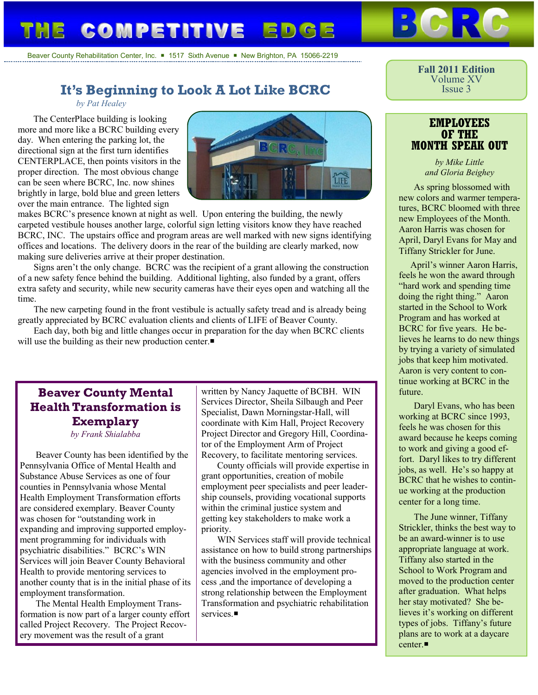# **COMPETITIVE**

Beaver County Rehabilitation Center, Inc.  $\blacksquare$  1517 Sixth Avenue  $\blacksquare$  New Brighton, PA 15066-2219

## **It's Beginning to Look A Lot Like BCRC**

#### *by Pat Healey*

The CenterPlace building is looking more and more like a BCRC building every day. When entering the parking lot, the directional sign at the first turn identifies CENTERPLACE, then points visitors in the proper direction. The most obvious change can be seen where BCRC, Inc. now shines brightly in large, bold blue and green letters over the main entrance. The lighted sign



makes BCRC's presence known at night as well. Upon entering the building, the newly carpeted vestibule houses another large, colorful sign letting visitors know they have reached BCRC, INC. The upstairs office and program areas are well marked with new signs identifying offices and locations. The delivery doors in the rear of the building are clearly marked, now making sure deliveries arrive at their proper destination.

Signs aren't the only change. BCRC was the recipient of a grant allowing the construction of a new safety fence behind the building. Additional lighting, also funded by a grant, offers extra safety and security, while new security cameras have their eyes open and watching all the time.

The new carpeting found in the front vestibule is actually safety tread and is already being greatly appreciated by BCRC evaluation clients and clients of LIFE of Beaver County.

Each day, both big and little changes occur in preparation for the day when BCRC clients will use the building as their new production center.

## **Beaver County Mental Health Transformation is Exemplary**

*by Frank Shialabba*

Beaver County has been identified by the Pennsylvania Office of Mental Health and Substance Abuse Services as one of four counties in Pennsylvania whose Mental Health Employment Transformation efforts are considered exemplary. Beaver County was chosen for "outstanding work in expanding and improving supported employment programming for individuals with psychiatric disabilities." BCRC's WIN Services will join Beaver County Behavioral Health to provide mentoring services to another county that is in the initial phase of its employment transformation.

The Mental Health Employment Transformation is now part of a larger county effort called Project Recovery. The Project Recovery movement was the result of a grant

written by Nancy Jaquette of BCBH. WIN Services Director, Sheila Silbaugh and Peer Specialist, Dawn Morningstar-Hall, will coordinate with Kim Hall, Project Recovery Project Director and Gregory Hill, Coordinator of the Employment Arm of Project Recovery, to facilitate mentoring services.

County officials will provide expertise in grant opportunities, creation of mobile employment peer specialists and peer leadership counsels, providing vocational supports within the criminal justice system and getting key stakeholders to make work a priority.

WIN Services staff will provide technical assistance on how to build strong partnerships with the business community and other agencies involved in the employment process ,and the importance of developing a strong relationship between the Employment Transformation and psychiatric rehabilitation services.

**Fall 2011 Edition** Volume XV Issue 3

#### **EMPLOYEES OF THE MONTH SPEAK OUT**

*by Mike Little and Gloria Beighey*

As spring blossomed with new colors and warmer temperatures, BCRC bloomed with three new Employees of the Month. Aaron Harris was chosen for April, Daryl Evans for May and Tiffany Strickler for June.

April's winner Aaron Harris, feels he won the award through "hard work and spending time doing the right thing." Aaron started in the School to Work Program and has worked at BCRC for five years. He believes he learns to do new things by trying a variety of simulated jobs that keep him motivated. Aaron is very content to continue working at BCRC in the future.

Daryl Evans, who has been working at BCRC since 1993, feels he was chosen for this award because he keeps coming to work and giving a good effort. Daryl likes to try different jobs, as well. He's so happy at BCRC that he wishes to continue working at the production center for a long time.

The June winner, Tiffany Strickler, thinks the best way to be an award-winner is to use appropriate language at work. Tiffany also started in the School to Work Program and moved to the production center after graduation. What helps her stay motivated? She believes it's working on different types of jobs. Tiffany's future plans are to work at a daycare center  $\blacksquare$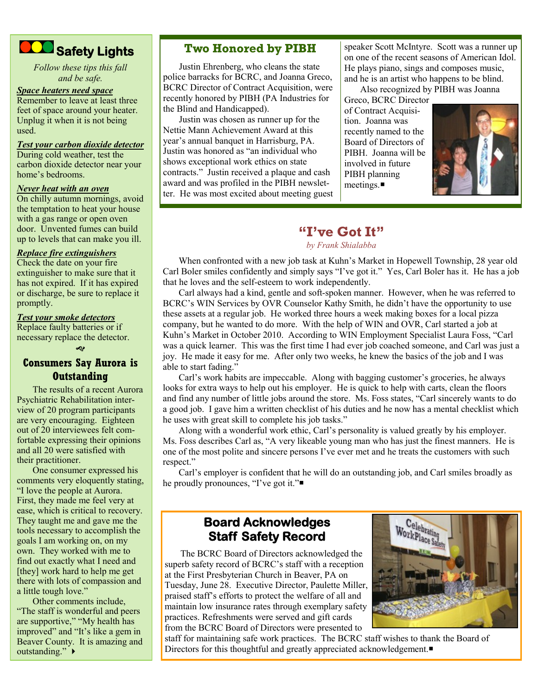

*Follow these tips this fall and be safe.*

#### *Space heaters need space*

Remember to leave at least three feet of space around your heater. Unplug it when it is not being used.

#### *Test your carbon dioxide detector*

During cold weather, test the carbon dioxide detector near your home's bedrooms.

#### *Never heat with an oven*

On chilly autumn mornings, avoid the temptation to heat your house with a gas range or open oven door. Unvented fumes can build up to levels that can make you ill.

#### *Replace fire extinguishers*

Check the date on your fire extinguisher to make sure that it has not expired. If it has expired or discharge, be sure to replace it promptly.

#### *Test your smoke detectors*

Replace faulty batteries or if necessary replace the detector.

Ŀ

#### **Consumers Say Aurora is Outstanding**

The results of a recent Aurora Psychiatric Rehabilitation interview of 20 program participants are very encouraging. Eighteen out of 20 interviewees felt comfortable expressing their opinions and all 20 were satisfied with their practitioner.

One consumer expressed his comments very eloquently stating, "I love the people at Aurora. First, they made me feel very at ease, which is critical to recovery. They taught me and gave me the tools necessary to accomplish the goals I am working on, on my own. They worked with me to find out exactly what I need and [they] work hard to help me get there with lots of compassion and a little tough love."

Other comments include, "The staff is wonderful and peers are supportive," "My health has improved" and "It's like a gem in Beaver County. It is amazing and outstanding." ▶

#### **Two Honored by PIBH**

Justin Ehrenberg, who cleans the state police barracks for BCRC, and Joanna Greco, BCRC Director of Contract Acquisition, were recently honored by PIBH (PA Industries for the Blind and Handicapped).

Justin was chosen as runner up for the Nettie Mann Achievement Award at this year's annual banquet in Harrisburg, PA. Justin was honored as "an individual who shows exceptional work ethics on state contracts." Justin received a plaque and cash award and was profiled in the PIBH newsletter. He was most excited about meeting guest speaker Scott McIntyre. Scott was a runner up on one of the recent seasons of American Idol. He plays piano, sings and composes music, and he is an artist who happens to be blind.

Also recognized by PIBH was Joanna

Greco, BCRC Director of Contract Acquisition. Joanna was recently named to the Board of Directors of PIBH. Joanna will be involved in future PIBH planning meetings.



## **"I've Got It"**

#### *by Frank Shialabba*

When confronted with a new job task at Kuhn's Market in Hopewell Township, 28 year old Carl Boler smiles confidently and simply says "I've got it." Yes, Carl Boler has it. He has a job that he loves and the self-esteem to work independently.

Carl always had a kind, gentle and soft-spoken manner. However, when he was referred to BCRC's WIN Services by OVR Counselor Kathy Smith, he didn't have the opportunity to use these assets at a regular job. He worked three hours a week making boxes for a local pizza company, but he wanted to do more. With the help of WIN and OVR, Carl started a job at Kuhn's Market in October 2010. According to WIN Employment Specialist Laura Foss, "Carl was a quick learner. This was the first time I had ever job coached someone, and Carl was just a joy. He made it easy for me. After only two weeks, he knew the basics of the job and I was able to start fading."

Carl's work habits are impeccable. Along with bagging customer's groceries, he always looks for extra ways to help out his employer. He is quick to help with carts, clean the floors and find any number of little jobs around the store. Ms. Foss states, "Carl sincerely wants to do a good job. I gave him a written checklist of his duties and he now has a mental checklist which he uses with great skill to complete his job tasks."

Along with a wonderful work ethic, Carl's personality is valued greatly by his employer. Ms. Foss describes Carl as, "A very likeable young man who has just the finest manners. He is one of the most polite and sincere persons I've ever met and he treats the customers with such respect."

Carl's employer is confident that he will do an outstanding job, and Carl smiles broadly as he proudly pronounces, "I've got it."■

## **Board Acknowledges Staff Safety Record**

The BCRC Board of Directors acknowledged the superb safety record of BCRC's staff with a reception at the First Presbyterian Church in Beaver, PA on Tuesday, June 28. Executive Director, Paulette Miller, praised staff's efforts to protect the welfare of all and maintain low insurance rates through exemplary safety practices. Refreshments were served and gift cards from the BCRC Board of Directors were presented to



staff for maintaining safe work practices. The BCRC staff wishes to thank the Board of Directors for this thoughtful and greatly appreciated acknowledgement.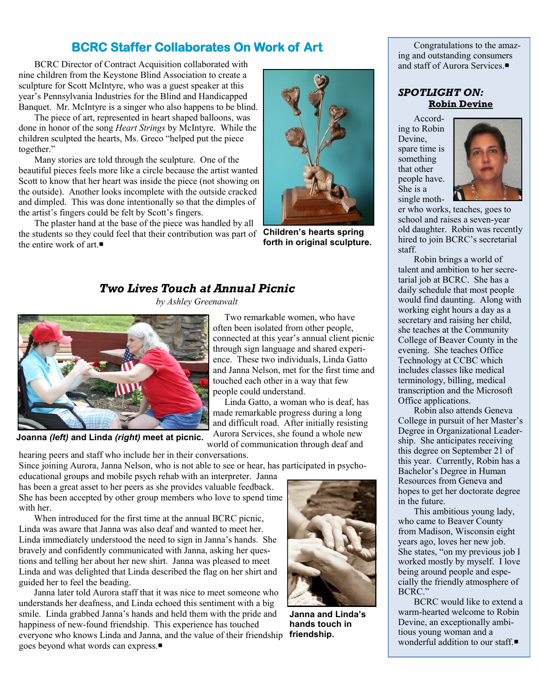## **BCRC Staffer Collaborates On Work of Art**

BCRC Director of Contract Acquisition collaborated with nine children from the Keystone Blind Association to create a sculpture for Scott McIntyre, who was a guest speaker at this year's Pennsylvania Industries for the Blind and Handicapped Banquet. Mr. McIntyre is a singer who also happens to be blind.

The piece of art, represented in heart shaped balloons, was done in honor of the song *Heart Strings* by McIntyre. While the children sculpted the hearts, Ms. Greco "helped put the piece together."

Many stories are told through the sculpture. One of the beautiful pieces feels more like a circle because the artist wanted Scott to know that her heart was inside the piece (not showing on the outside). Another looks incomplete with the outside cracked and dimpled. This was done intentionally so that the dimples of the artist's fingers could be felt by Scott's fingers.

The plaster hand at the base of the piece was handled by all the students so they could feel that their contribution was part of the entire work of art  $\blacksquare$ 



**Children's hearts spring forth in original sculpture.**

## *Two Lives Touch at Annual Picnic*

*by Ashley Greenawalt*



**Joanna** *(left)* **and Linda** *(right)* **meet at picnic.**

 Two remarkable women, who have often been isolated from other people, connected at this year's annual client picnic through sign language and shared experience. These two individuals, Linda Gatto and Janna Nelson, met for the first time and touched each other in a way that few people could understand.

 Linda Gatto, a woman who is deaf, has made remarkable progress during a long and difficult road. After initially resisting Aurora Services, she found a whole new

world of communication through deaf and

hearing peers and staff who include her in their conversations.

Since joining Aurora, Janna Nelson, who is not able to see or hear, has participated in psycho-

educational groups and mobile psych rehab with an interpreter. Janna has been a great asset to her peers as she provides valuable feedback. She has been accepted by other group members who love to spend time with her.

When introduced for the first time at the annual BCRC picnic, Linda was aware that Janna was also deaf and wanted to meet her. Linda immediately understood the need to sign in Janna's hands. She bravely and confidently communicated with Janna, asking her questions and telling her about her new shirt. Janna was pleased to meet Linda and was delighted that Linda described the flag on her shirt and guided her to feel the beading.

Janna later told Aurora staff that it was nice to meet someone who understands her deafness, and Linda echoed this sentiment with a big smile. Linda grabbed Janna's hands and held them with the pride and happiness of new-found friendship. This experience has touched everyone who knows Linda and Janna, and the value of their friendship goes beyond what words can express.



**Janna and Linda's hands touch in friendship.**

Congratulations to the amazing and outstanding consumers and staff of Aurora Services.

#### *SPOTLIGHT ON:* **Robin Devine**

According to Robin Devine, spare time is something that other people have. She is a single moth-



er who works, teaches, goes to school and raises a seven-year old daughter. Robin was recently hired to join BCRC's secretarial staff.

Robin brings a world of talent and ambition to her secretarial job at BCRC. She has a daily schedule that most people would find daunting. Along with working eight hours a day as a secretary and raising her child, she teaches at the Community College of Beaver County in the evening. She teaches Office Technology at CCBC which includes classes like medical terminology, billing, medical transcription and the Microsoft Office applications.

Robin also attends Geneva College in pursuit of her Master's Degree in Organizational Leadership. She anticipates receiving this degree on September 21 of this year. Currently, Robin has a Bachelor's Degree in Human Resources from Geneva and hopes to get her doctorate degree in the future.

This ambitious young lady, who came to Beaver County from Madison, Wisconsin eight years ago, loves her new job. She states, "on my previous job I worked mostly by myself. I love being around people and especially the friendly atmosphere of BCRC."

BCRC would like to extend a warm-hearted welcome to Robin Devine, an exceptionally ambitious young woman and a wonderful addition to our staff.